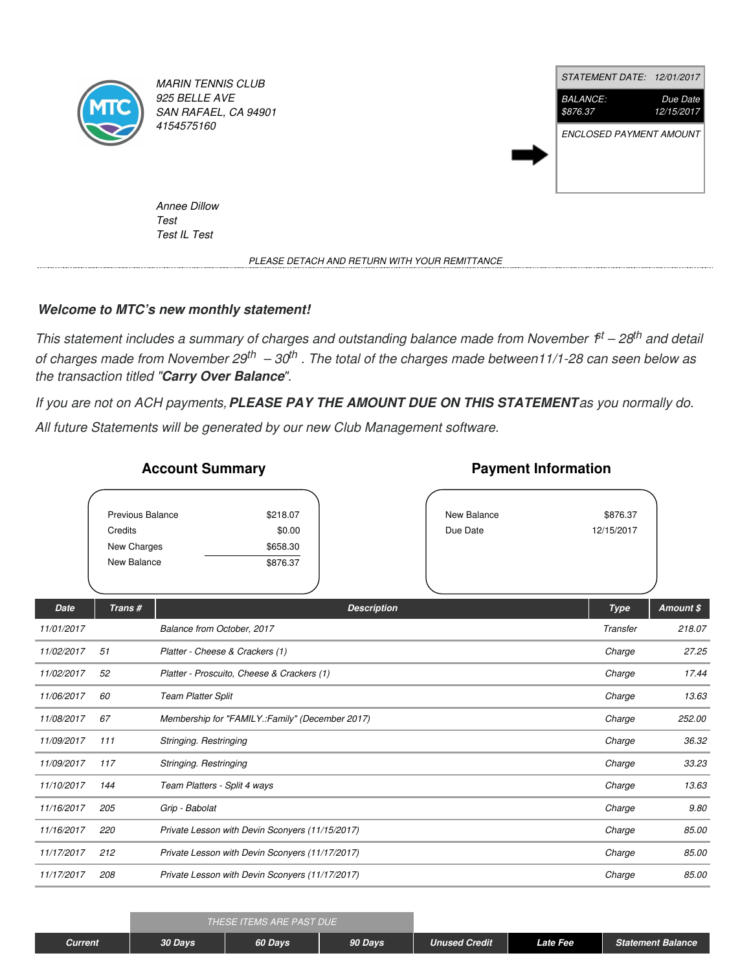

*MARIN TENNIS CLUB 925 BELLE AVE SAN RAFAEL, CA 94901 4154575160*



*Annee Dillow Test Test IL Test*

*PLEASE DETACH AND RETURN WITH YOUR REMITTANCE*

## *Welcome to MTC's new monthly statement!*

This statement includes a summary of charges and outstanding balance made from November  $f<sup>t</sup> - 28<sup>th</sup>$  and detail of charges made from November  $29^{th}$  –  $30^{th}$ . The total of the charges made between11/1-28 can seen below as *the transaction titled "Carry Over Balance".*

If you are not on ACH payments, PLEASE PAY THE AMOUNT DUE ON THIS STATEMENT as you normally do. *All future Statements will be generated by our new Club Management software.*

|             | Previous Balance<br>Credits<br>New Charges<br>New Balance | \$218.07<br>\$0.00<br>\$658.30<br>\$876.37      |                    | New Balance<br>Due Date | \$876.37<br>12/15/2017 |           |
|-------------|-----------------------------------------------------------|-------------------------------------------------|--------------------|-------------------------|------------------------|-----------|
| <b>Date</b> | Trans#                                                    |                                                 | <b>Description</b> |                         | <b>Type</b>            | Amount \$ |
| 11/01/2017  |                                                           | Balance from October, 2017                      |                    |                         | Transfer               | 218.07    |
| 11/02/2017  | 51                                                        | Platter - Cheese & Crackers (1)                 | Charge             | 27.25                   |                        |           |
| 11/02/2017  | 52                                                        | Platter - Proscuito, Cheese & Crackers (1)      | Charge             | 17.44                   |                        |           |
| 11/06/2017  | 60                                                        | <b>Team Platter Split</b>                       | Charge             | 13.63                   |                        |           |
| 11/08/2017  | 67                                                        | Membership for "FAMILY.:Family" (December 2017) | Charge             | 252.00                  |                        |           |
| 11/09/2017  | 111                                                       | Stringing. Restringing                          | Charge             | 36.32                   |                        |           |
| 11/09/2017  | 117                                                       | Stringing. Restringing                          | Charge             | 33.23                   |                        |           |
| 11/10/2017  | 144                                                       | Team Platters - Split 4 ways                    | Charge             | 13.63                   |                        |           |
| 11/16/2017  | 205                                                       | Grip - Babolat                                  | Charge             | 9.80                    |                        |           |
| 11/16/2017  | 220                                                       | Private Lesson with Devin Sconyers (11/15/2017) | Charge             | 85.00                   |                        |           |
|             |                                                           |                                                 |                    |                         |                        |           |

## **Account Summary**

## **Payment Information**

*11/17/2017 212 Private Lesson with Devin Sconyers (11/17/2017) Charge 85.00 11/17/2017 208 Private Lesson with Devin Sconyers (11/17/2017) Charge 85.00*